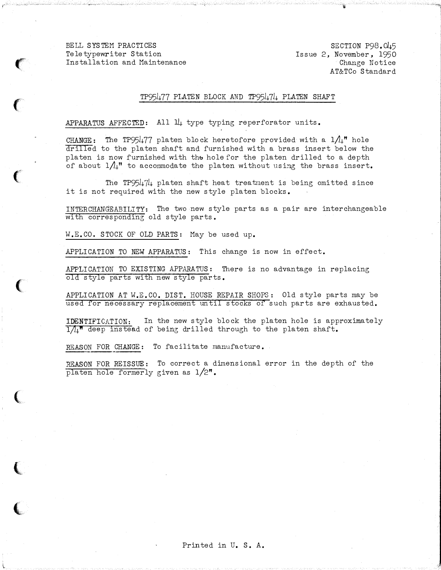$\left($ 

 $\left($ 

 $\big($ 

 $\left(\rule{0pt}{10pt}\right.$ 

(

l

 $\left($ 

SECTION P98. 045 Issue 2, November, 1950 Change Notice AT&TCo Standard

# TP95477 PLATEN BLOCK AND TP95474 PLATEN SHAFT

APPARATUS AFFECTED: All  $ll$  type typing reperforator units.

CHANGE: The TP95477 platen block heretofore provided with a  $1/\mu$ <sup>"</sup> hole drilled to the platen shaft and furnished with a brass insert below the platen is now furnished with the hole for the platen drilled to a depth of about  $1/\!\!1$ " to accommodate the platen without using the brass insert.

The TP95474 platen shaft heat treatment is being omitted since it is not required with the new style platen blocks.

INTERCHANGEABILITY: The two new style parts as a pair are interchangeable with corresponding old style parts.

H.E.CO. STOCK OF OLD PARTS: May be used up.

APPLICATION TO NEW APPARATUS: This change is now in effect.

APPLICATION TO EXISTING APPARATUS: There is no advantage in replacing old style parts with new style parts.

APPLICATION AT W.E.CO. DIST. HOUSE REPAIR SHOPS: Old style parts may be used for necessary replacement until stocks of such parts are exhausted.

IDENTIFICATION: In the new style block the platen hole is approximately  $1/\mu$ <sup>n</sup> deep instead of being drilled through to the platen shaft.

REASON FOR CHANGE: To facilitate manufacture.

REASON FOR REISSUE: To correct a dimensional error in the depth of the platen hole formerly given as 1/2".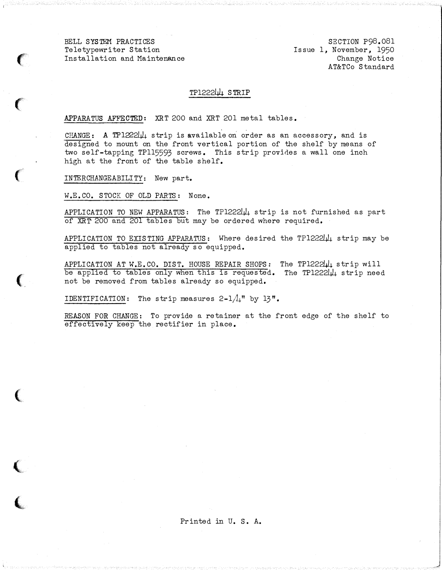$\left( \begin{array}{c} 0 \ 0 \end{array} \right)$ 

 $\big($ 

 $\epsilon$ 

 $\big($ 

,

 $\blacksquare$ 

SECTION P98.081 Issue 1, November, 1950 Change Notice AT&TCo Standard

#### TP1222LJ4 STRIP

APPARATUS AFFECTED: XRT 200 and XRT 201 metal tables.

CHANGE: A TP1222 $\mu$  strip is available on order as an accessory, and is designed to mount on the front vertical portion of the shelf by means of two self-tapping TP115593 screws. This strip provides a wall one inch high at the front of the table shelf.

INTERCHANGEABILITY: New part.

W.E.CO. STOCK OF OLD PARTS: None.

APPLICATION TO NEW APPARATUS: The TP1222 $\downarrow\downarrow$  strip is not furnished as part of XRT 200 and 201 tables but may be ordered where required.

APPLICATION TO EXISTING APPARATUS: Where desired the TP1222 $\mu$ <sub>4</sub> strip may be applied to tables not already so equipped.

APPLICATION AT W.E.CO. DIST. HOUSE REPAIR SHOPS: The TP122244 strip will be applied to tables only when this is requested. The TP1222144 strip need not be removed from tables already so equipped.

IDENTIFICATION: The strip measures  $2-1/\mu$ <sup>"</sup> by  $13"$ .

REASON FOR CHANGE: To provide a retainer at the front edge of the shelf to effectively keep the rectifier in place.

# Printed in U. s. A.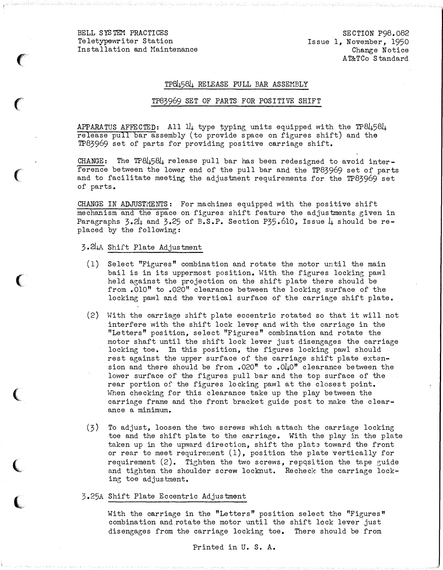$\epsilon$ 

'

 $\big($ 

 $\big($ 

,

(

 $\blacksquare$ 

SECTION P98. 082 Issue 1, November, 1950 Change Notice AT&TCo S tandard

#### TP84584 RELEASE PULL BAR ASSEMBLY

#### TP83969 SET OF PARTS FOR POSITIVE SHIFT

APPARATUS AFFECTED: All  $11$  type typing units equipped with the TP8 $\mu$ 58 $\mu$ release pull bar assembly (to provide space on figures shift) and the TP83969 set of parts for providing positive carriage shift.

CHANGE: The  $TP84584$  release pull bar has been redesigned to avoid interference between the lower end of the pull bar and the TP83969 set of parts and to facilitate meeting the adjustment requirements for the TP83969 set of parts.

CHANGE IN ADJUSTMENTS: For machines equipped with the positive shift mechanism and the space on figures shift feature the adjustments given in Paragraphs  $3.2\mu$  and  $3.25$  of B.S.P. Section P35.610, Issue  $\mu$  should be replaced by the following:

#### 3.24A Shift Plate Adjustment

- (1) Select "Figures" combination and rotate the motor until the main bail is in its uppermost position. With the figures locking pawl held against the projection on the shift plate there should be from .010" to .020" clearance between the locking surface of the locking pawl and the vertical surface of the carriage shift plate.
- (2) With the carriage shift plate eccentric rotated so that it will not interfere with the shift lock lever and with the carriage in the " Letters" position, select "Figures" combination and rotate the motor shaft until the shift lock lever just disengages the carriage locking toe. In this position, the figures locking pawl should rest against the upper surface of the carriage shift plate extension and there should be from .020" to .0 $\mu$ 0" clearance between the lower surface of the figures pull bar and the top surface of the rear portion of the figures locking pawl at the closest point. When checking for this clearance take up the play between the carriage frame and the front bracket guide post to make the clearance a minimum.
- (3) To adjust, loosen the two screws which attach the carriage locking toe and the shift plate to the carriage. With the play in the plate taken up in the upward direction, shift the plate toward the front or rear to meet requirement (1), position the plate vertically for requirement  $(2)$ . Tighten the two screws, reposition the tape guide and tighten the shoulder screw locknut. Recheck the carriage locking toe adjustment.

#### 3.25A Shift Plate Eccentric Adjustment

With the carriage in the "Letters" position select the "Figures" combination and rotate the motor until the shift lock lever just disengages from the carriage locking toe. There should be from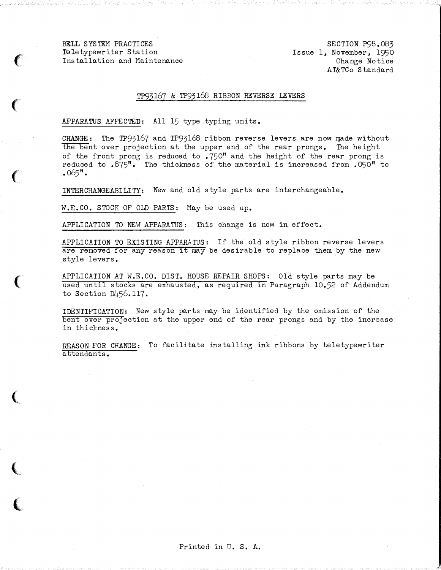$\epsilon$ 

 $\big($ 

 $\left($ 

 $\big($ 

 $\big($ 

 $\big($ 

SECTION P98.083 Issue 1, November, 1950 Change Notice AT&TCo Standard

#### TP93167 & TP93168 RIBBON REVERSE LEVERS

# APPARATUS AFFECTED: All 15 type typing units.

CHANGE: The TP93167 and TP93168 ribbon reverse levers are now made without the bent over projection at the upper end of the rear prongs. The height of the front prong is reduced to  $.750$ " and the height of the rear prong is reduced to  $.875$ ". The thickness of the material is increased from  $.050$ " to  $.065$ " $.$ 

INTERCHANGEABILITY: New and old style parts are interchangeable.

W.E.CO. STOCK OF OLD PARTS: May be used up.

APPLICATION TO NEW APPARATUS: This change is now in effect.

APPLICATION TO EXISTING APPARATUS: If the old style ribbon reverse levers are removed for any reason it may be desirable to replace them by the new style levers.

APPLICATION AT W.E.CO. DIST. HOUSE REPAIR SHOPS: Old style parts may be used until stocks are exhausted, as required in Paragraph 10.52 of Addendum to Section D456.ll7.

IDENTIFICATION: New style parts may be identified by the omission of the bent over projection at the upper end of the rear prongs and by the increase in thickness.

REASON FOR CHANGE: To facilitate installing ink ribbons by teletypewriter attendants.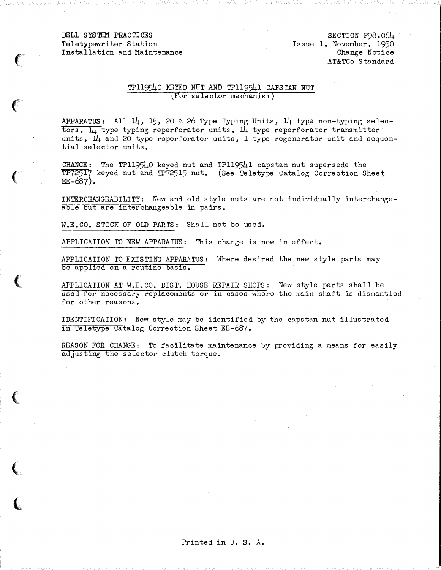$\epsilon$ 

 $\big($ 

 $\big($ 

 $\left($ 

 $\big($ 

(

 $\big($ 

SECTION P98.084 Issue 1, November, 1950 Change Notice AT&TCo S tandard

## TP119540 KEYED NUT AND TP119541 CAPSTAN NUT (For selector mechanism)

APPARATUS: All  $14$ , 15, 20 & 26 Type Typing Units,  $14$  type non-typing selectors,  $\overline{\mathfrak{u}}_1$  type typing reperforator units,  $\overline{\mathfrak{u}}_1$  type reperforator transmitter units,  $1\mu$  and 20 type reperforator units, 1 type regenerator unit and sequential selector units.

CHANGE: The TP119540 keyed nut and TP119541 capstan nut supersede the TP72517 keyed nut and TP72515 nut. (See Teletype Catalog Correction Sheet  $EE-687$ ).

INTERCHANGEABILITY: New and old style nuts are not individually interchangeable but are interchangeable in pairs.

W.E.CO. STOCK OF OLD PARTS: Shall not be used.

APPLICATION TO NEW APPARATUS: This change is now in effect.

APPLICATION TO EXISTING APPARATUS: Where desired the new style parts may be applied on a routine basis.

APPLICATION AT W.E.CO. DIST. HOUSE REPAIR SHOPS: New style parts shall be used for necessary replacements or in cases where the main shaft is dismantled for other reasons.

IDENTIFICATION: New style may be identified by the capstan nut illustrated in Teletype Catalog Correction Sheet EE-687.

REASON FOR CHANGE: To facilitate maintenance by providing a means for easily adjusting the selector clutch torque.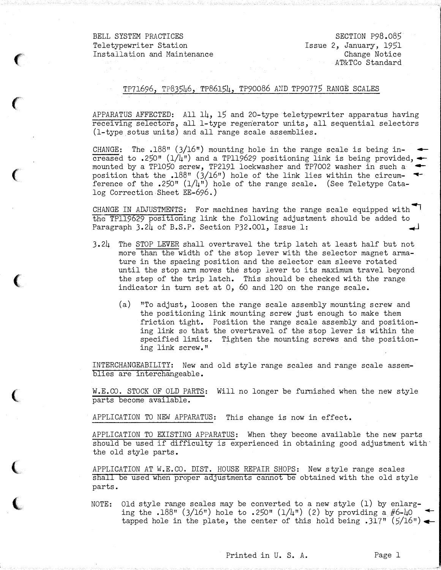$\big($ ()<br>Service

 $\overline{\mathbb{C}}$ 

(

SECTION P98.085 Issue 2, January, 1951 Change Notice AT&TCo Standard

# TP71696, TP83546, TP86154, TP90086 AND TP90775 RANGE SCALES

APPARATUS AFFECTED: All 14, 15 and 20-type teletypewriter apparatus having receiving selectors, all 1-type regenerator units, all sequential selectors (l-type sotus units) and all range scale assemblies.

CHANGE: The  $.188$ " (3/16") mounting hole in the range scale is being increased to .250" ( $1/\mu$ ") and a TPl19629 positioning link is being provided,  $\triangleleft$ mounted by a TP1050 screw, TP2191 lockwasher and TP7002 washer in such a  $\blacktriangleleft$ position that the  $.188$ " (3/16") hole of the link lies within the circumference of the .250"  $(1/4)$  hole of the range scale. (See Teletype Catalog Correction Sheet EE-696.)

CHANGE IN ADJUSTMENTS: For machines having the range scale equipped with  $\blacksquare$ the TPll9629 positioning link the following adjustment should be added to Paragraph 3.24 of B.S.P. Section P32.001, Issue 1:

- 3.24 The STOP LEVER shall overtravel the trip latch at least half but not more than the width of the stop lever with the selector magnet armature in the spacing position and the selector cam sleeve rotated until the stop arm moves the stop lever to its maximum travel beyond the step of the trip latch. This should be checked with the range indicator in turn set at 0, 60 and 120 on the range scale.
	- (a) "To adjust, loosen the range scale assembly mounting screw and the positioning link mounting screw just enough to make them friction tight. Position the range scale assembly and positioning link so that the overtravel of the stop lever is within the specified limits. Tighten the mounting screws and the positioning link screw. "

INTERCHANGEABILITY: New and old style range scales and range scale assemblies are interchangeable.

W.E.CO. STOCK OF OLD PARTS: Will no longer be furnished when the new style parts become available.

APPLICATION TO NEW APPARATUS: This change is now in effect.

APPLICATION TO EXISTING APPARATUS: When they become available the new parts should be used if difficulty is experienced in obtaining good adjustment with the old style parts.

APPLICATION AT W.E.CO. DIST. HOUSE REPAIR SHOPS: New style range scales shall be used when proper adjustments cannot be obtained with the old style parts.

NOTE: Old style range scales may be converted to a new style (l) by enlarging the  $.188$ <sup>n</sup> (3/16") hole to  $.250$ " ( $1/4$ ") (2) by providing a #6-40 tapped hole in the plate, the center of this hold being .317" ( $5/16$ ")  $\leftarrow$ 

Printed in U.S. A. Page 1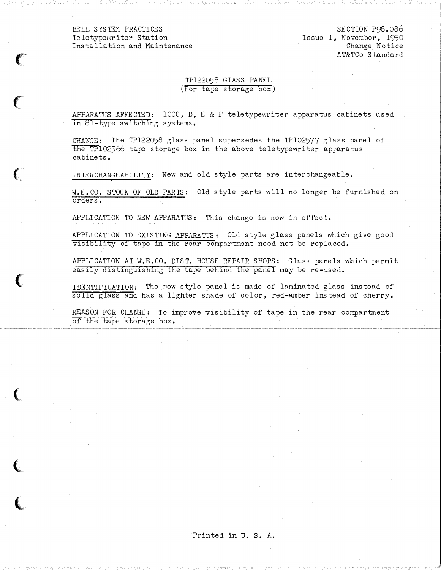$\mathcal{C}$ 

 $\big($ 

 $\mathbf{r}$ 

(

 $\big($ 

 $\big($ 

SECTION P98.086 Issue 1, Novenber, 1950 Change Notice AT&TCo Standard

# TP122058 GLASS PANEL (For tape storage box)

APPARATUS AFFECTED:  $100C$ , D, E & F teletypewriter apparatus cabinets used in 81-type switching systems.

CHANGE: The TP122058 glass panel supersedes the TP102577 glass panel of the TP1 02566 tape storage box in the above teletypewriter apparatus cabinets.

INTERCHANGEABILITY: New and old style parts are interchangeable.

W.E.CO, STOCK OF OLD PARTS: Old style parts will no longer be furnished on orders.

APPLICATION TO NEW APPARATUS: This change is now in effect.

APPLICATION TO EXISTING APPARATUS: Old style glass panels which give good visibility of tape in the rear compartment need not be replaced.

APPLICATION AT W.E.CO. DIST. HOUSE REPAIR SHOPS: Glass panels which permit easily distinguishing the tape behind the panel may be re-used,

IDENTIFICATION: The new style panel is made of laminated glass instead of solid glass and has a lighter shade of color, red-amber instead of cherry.

REASON FOR CHANGE: To improve visibility of tape in the rear compartment of the tape storage box.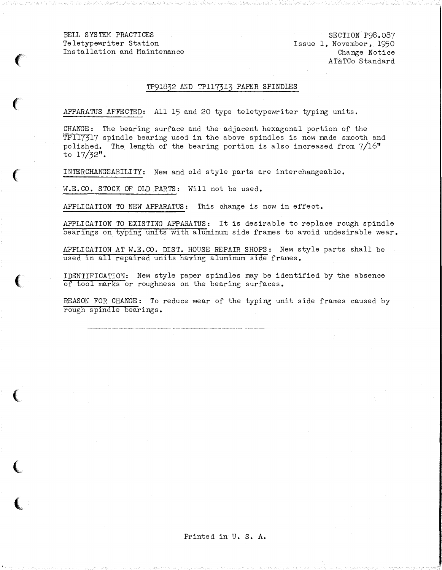$\left($ 

 $\big($ 

 $\big($ 

**人名** 

**(2)** 

 $\big($ 

l

SECTION P98.037 Issue 1, November, 1950 Change Notice AT&TCo Standard

### TP9l832 AND TP117313 PAPER SPINDlES

APPARATUS AFFECTED: All 15 and 20 type teletypewriter typing units.

CHANGE: The bearing surface and the adjacent hexagonal portion of the TP117317 spindle bearing used in the above spindles is now made smooth and polished. The length of the bearing portion is also increased from  $7/16$ " to  $17/32$ ".

INTERCHANGEABILITY: New and old style parts are interchangeable.

�.E.CO. STOCK OF OLD PARTS: Will not be used.

APPLICATION TO NEW APPARATUS: This change is now in effect.

APPLICATION TO EXISTING APPARATUS: It is desirable to replace rough spindle bearings on typing units with aluminum side frames to avoid undesirable wear.

APPLICATION AT W.E.CO. DIST. HOUSE REPAIR SHOPS: New style parts shall be used in all repaired units having aluminum side frames.

IDENTIFICATION: New style paper spindles may be identified by the absence of tool marks or roughness on the bearing surfaces.

REASON FOR CHANGE: To reduce wear of the typing unit side frames caused by rough spindle bearings.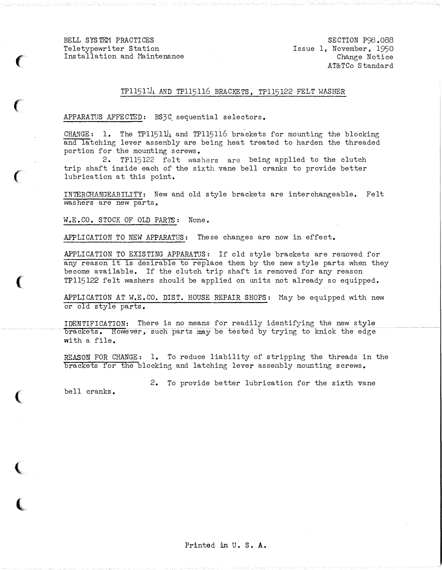$\epsilon$ 

 $\big($ 

 $\big($ 

 $\big($ 

(

 $\blacksquare$ 

SECTION P98 .088 Issue 1, November, 1950 Change Notice AT&TCo Standard

# $TPI15111$ . AND TP115116 BRACKETS, TP115122 FELT WASHER

#### APPARATUS AFFECTED: BS3C sequential selectors.

CHANGE: 1. The TP115114 and TP115116 brackets for mounting the blocking and latching lever assembly are being heat treated to harden the threaded portion for the mounting screws.

2. TP115122 felt washers are being applied to the clutch trip shaft inside each of the sixth vane bell cranks to provide better lubrication at this point.

INTERCHANGEAB ILITY: New and old style brackets are interchangeable. Felt washers are new parts.

W.E.CO. STOCK OF OLD PARTS: None.

APPLICATION TO NEW APPARATUS: These changes are now in effect.

APPLICATION TO EXISTING APPARATUS: If old style brackets are removed for any reason it is desirable to replace them by the new style parts when they become available. If the clutch trip shaft is removed for any reason TPll5l22 felt washers should be applied on units not already so equipped.

APPLICATION AT W.E.CO. DIST. HOUSE REPAIR SHOPS: May be equipped with new or old style parts.

IDENTIFICATION: There is no means for readily identifying the new style brackets. However, such parts may be tested by trying to knick the edge with a file.

REASON FOR CHANGE: 1. To reduce liability of stripping the threads in the brackets for the blocking and latching lever assembly mounting screws.

2. To provide better lubrication for the sixth vane

bell cranks.

Printed in U. S. A.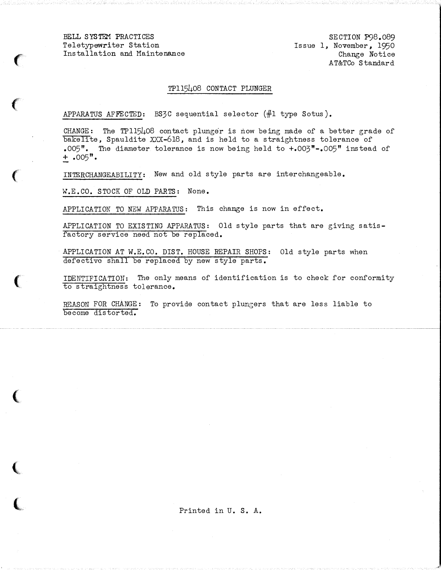$\epsilon$ 

 $\left($ 

 $\left($ 

 $\big($ 

(

(

l

SECTION P98.089 Issue 1, November, 1950 Change Notice AT&TCo Standard

#### TP115408 CONTACT PLUNGER

APPARATUS AFFECTED: BS3C sequential selector (#1 type Sotus).

CHANGE: The TP115408 contact plunger is now being made of a better grade of bakelite, Spauldite XXX-618, and is held to a straightness tolerance of .005". The diameter tolerance is now being held to  $+0.005$ " $-0.005$ " instead of  $+$ .005".

INTERCHANGEABILITY: New and old style parts are interchangeable.

W.E. CO. STOCK OF OLD PARTS: None.

APPLICATION TO NEW APPARATUS: This change is now in effect.

APPLICATION TO EXISTING APPARATUS: Old style parts that are giving satisfactory service need not be replaced.

APPLICATION AT W.E.CO. DIST. HOUSE REPAIR SHOPS: Old style parts when defective shall be replaced by new style parts.

IDENTIFICATION: The only means of identification is to check for conformity to straightness tolerance.

REASON FOR CHANGE: To provide contact plungers that are less liable to become distorted.

Printed in U. S. A.